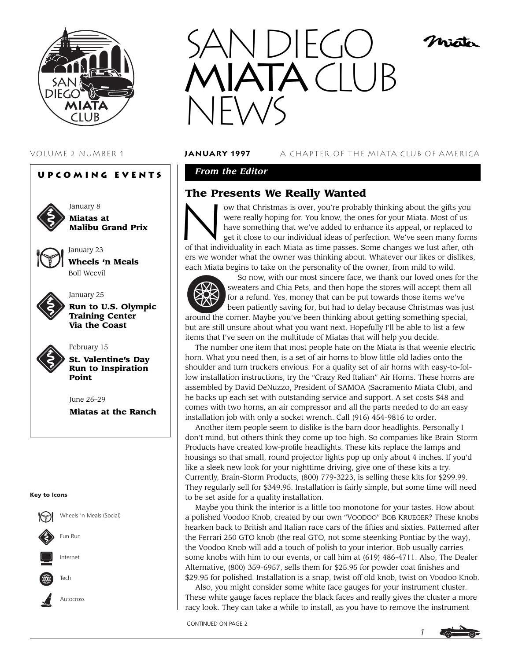

# **Upcoming Events**



January 8 **Miatas at Malibu Grand Prix**



**Wheels 'n Meals** Boll Weevil

January 23



# January 25

**Run to U.S. Olympic Training Center Via the Coast**



February 15 **St. Valentine's Day Run to Inspiration Point**

June 26–29 **Miatas at the Ranch**

#### **Key to Icons**





#### VOLUME 2 NUMBER 1 **january 1997** A CHAPTER OF THE MIATA CLUB OF AMERICA

Mistr

# *From the Editor*

# **The Presents We Really Wanted**



The Presents We Really Wanted<br>
ow that Christmas is over, you're probably thinking about the gifts you<br>
were really hoping for. You know, the ones for your Miata. Most of us<br>
have something that we've added to enhance its were really hoping for. You know, the ones for your Miata. Most of us have something that we've added to enhance its appeal, or replaced to get it close to our individual ideas of perfection. We've seen many forms

of that individuality in each Miata as time passes. Some changes we lust after, others we wonder what the owner was thinking about. Whatever our likes or dislikes, each Miata begins to take on the personality of the owner, from mild to wild.



So now, with our most sincere face, we thank our loved ones for the sweaters and Chia Pets, and then hope the stores will accept them all for a refund. Yes, money that can be put towards those items we've been patiently saving for, but had to delay because Christmas was just

around the corner. Maybe you've been thinking about getting something special, but are still unsure about what you want next. Hopefully I'll be able to list a few items that I've seen on the multitude of Miatas that will help you decide.

The number one item that most people hate on the Miata is that weenie electric horn. What you need then, is a set of air horns to blow little old ladies onto the shoulder and turn truckers envious. For a quality set of air horns with easy-to-follow installation instructions, try the "Crazy Red Italian" Air Horns. These horns are assembled by David DeNuzzo, President of SAMOA (Sacramento Miata Club), and he backs up each set with outstanding service and support. A set costs \$48 and comes with two horns, an air compressor and all the parts needed to do an easy installation job with only a socket wrench. Call (916) 454-9816 to order.

Another item people seem to dislike is the barn door headlights. Personally I don't mind, but others think they come up too high. So companies like Brain-Storm Products have created low-profile headlights. These kits replace the lamps and housings so that small, round projector lights pop up only about 4 inches. If you'd like a sleek new look for your nighttime driving, give one of these kits a try. Currently, Brain-Storm Products, (800) 779-3223, is selling these kits for \$299.99. They regularly sell for \$349.95. Installation is fairly simple, but some time will need to be set aside for a quality installation.

Maybe you think the interior is a little too monotone for your tastes. How about a polished Voodoo Knob, created by our own "VOODOO" BOB KRUEGER? These knobs hearken back to British and Italian race cars of the fifties and sixties. Patterned after the Ferrari 250 GTO knob (the real GTO, not some steenking Pontiac by the way), the Voodoo Knob will add a touch of polish to your interior. Bob usually carries some knobs with him to our events, or call him at (619) 486-4711. Also, The Dealer Alternative, (800) 359-6957, sells them for \$25.95 for powder coat finishes and \$29.95 for polished. Installation is a snap, twist off old knob, twist on Voodoo Knob.

Also, you might consider some white face gauges for your instrument cluster. These white gauge faces replace the black faces and really gives the cluster a more racy look. They can take a while to install, as you have to remove the instrument

CONTINUED ON PAGE 2

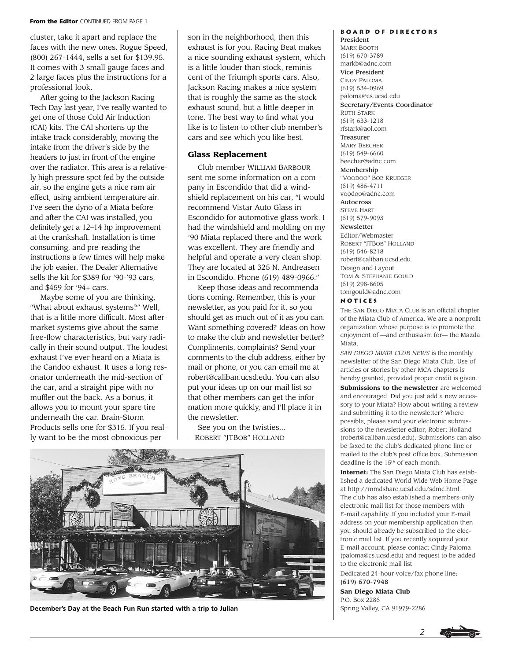#### **From the Editor** CONTINUED FROM PAGE 1

cluster, take it apart and replace the faces with the new ones. Rogue Speed, (800) 267-1444, sells a set for \$139.95. It comes with 3 small gauge faces and 2 large faces plus the instructions for a professional look.

After going to the Jackson Racing Tech Day last year, I've really wanted to get one of those Cold Air Induction (CAI) kits. The CAI shortens up the intake track considerably, moving the intake from the driver's side by the headers to just in front of the engine over the radiator. This area is a relatively high pressure spot fed by the outside air, so the engine gets a nice ram air effect, using ambient temperature air. I've seen the dyno of a Miata before and after the CAI was installed, you definitely get a 12–14 hp improvement at the crankshaft. Installation is time consuming, and pre-reading the instructions a few times will help make the job easier. The Dealer Alternative sells the kit for \$389 for '90-'93 cars, and \$459 for '94+ cars.

Maybe some of you are thinking, "What about exhaust systems?" Well, that is a little more difficult. Most aftermarket systems give about the same free-flow characteristics, but vary radically in their sound output. The loudest exhaust I've ever heard on a Miata is the Candoo exhaust. It uses a long resonator underneath the mid-section of the car, and a straight pipe with no muffler out the back. As a bonus, it allows you to mount your spare tire underneath the car. Brain-Storm Products sells one for \$315. If you really want to be the most obnoxious person in the neighborhood, then this exhaust is for you. Racing Beat makes a nice sounding exhaust system, which is a little louder than stock, reminiscent of the Triumph sports cars. Also, Jackson Racing makes a nice system that is roughly the same as the stock exhaust sound, but a little deeper in tone. The best way to find what you like is to listen to other club member's cars and see which you like best.

#### **Glass Replacement**

Club member WILLIAM BARBOUR sent me some information on a company in Escondido that did a windshield replacement on his car, "I would recommend Vistar Auto Glass in Escondido for automotive glass work. I had the windshield and molding on my '90 Miata replaced there and the work was excellent. They are friendly and helpful and operate a very clean shop. They are located at 325 N. Andreasen in Escondido. Phone (619) 489-0966."

Keep those ideas and recommendations coming. Remember, this is your newsletter, as you paid for it, so you should get as much out of it as you can. Want something covered? Ideas on how to make the club and newsletter better? Compliments, complaints? Send your comments to the club address, either by mail or phone, or you can email me at robert@caliban.ucsd.edu. You can also put your ideas up on our mail list so that other members can get the information more quickly, and I'll place it in the newsletter.

See you on the twisties... —ROBERT "JTBOB" HOLLAND



**December's Day at the Beach Fun Run started with a trip to Julian**

**Board of Directors** President

MARK BOOTH (619) 670-3789 markb@adnc.com Vice President CINDY PALOMA (619) 534-0969 paloma@cs.ucsd.edu Secretary/Events Coordinator RUTH STARK (619) 633-1218 rfstark@aol.com Treasurer MARY BEECHER (619) 549-6660 beecher@adnc.com Membership "VOODOO" BOB KRUEGER (619) 486-4711 voodoo@adnc.com Autocross STEVE HART (619) 579-9093 Newsletter Editor/Webmaster ROBERT "JTBOB" HOLLAND (619) 546-8218 robert@caliban.ucsd.edu Design and Layout TOM & STEPHANIE GOULD (619) 298-8605 tomgould@adnc.com **Notices**

THE SAN DIEGO MIATA CLUB is an official chapter of the Miata Club of America. We are a nonprofit organization whose purpose is to promote the enjoyment of —and enthusiasm for— the Mazda Miata.

*SAN DIEGO MIATA CLUB NEWS* is the monthly newsletter of the San Diego Miata Club. Use of articles or stories by other MCA chapters is hereby granted, provided proper credit is given. **Submissions to the newsletter** are welcomed and encouraged. Did you just add a new accessory to your Miata? How about writing a review and submitting it to the newsletter? Where possible, please send your electronic submissions to the newsletter editor, Robert Holland (robert@caliban.ucsd.edu). Submissions can also be faxed to the club's dedicated phone line or mailed to the club's post office box. Submission deadline is the 15th of each month.

**Internet:** The San Diego Miata Club has established a dedicated World Wide Web Home Page at http://mmdshare.ucsd.edu/sdmc.html. The club has also established a members-only electronic mail list for those members with E-mail capability. If you included your E-mail address on your membership application then you should already be subscribed to the electronic mail list. If you recently acquired your E-mail account, please contact Cindy Paloma (paloma@cs.ucsd.edu) and request to be added to the electronic mail list.

Dedicated 24-hour voice/fax phone line: (619) 670-7948

**San Diego Miata Club** P.O. Box 2286 Spring Valley, CA 91979-2286

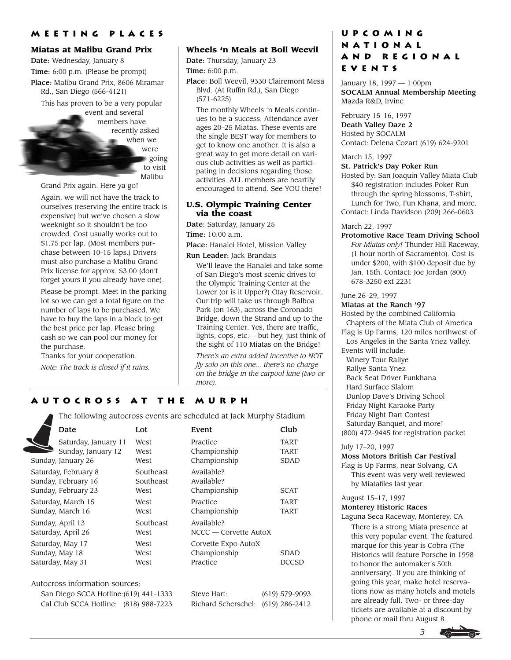### **Miatas at Malibu Grand Prix**

Date: Wednesday, January 8 Time: 6:00 p.m. (Please be prompt) Place: Malibu Grand Prix, 8606 Miramar Rd., San Diego (566-4121)

This has proven to be a very popular event and several members have recently asked when we were going to visit Malibu

Grand Prix again. Here ya go!

Again, we will not have the track to ourselves (reserving the entire track is expensive) but we've chosen a slow weeknight so it shouldn't be too crowded. Cost usually works out to \$1.75 per lap. (Most members purchase between 10-15 laps.) Drivers must also purchase a Malibu Grand Prix license for approx. \$3.00 (don't forget yours if you already have one).

Please be prompt. Meet in the parking lot so we can get a total figure on the number of laps to be purchased. We have to buy the laps in a block to get the best price per lap. Please bring cash so we can pool our money for the purchase.

Thanks for your cooperation. *Note: The track is closed if it rains.*

# **Wheels 'n Meals at Boll Weevil**

Date: Thursday, January 23 Time: 6:00 p.m.

Place: Boll Weevil, 9330 Clairemont Mesa Blvd. (At Ruffin Rd.), San Diego (571-6225)

The monthly Wheels 'n Meals continues to be a success. Attendance averages 20–25 Miatas. These events are the single BEST way for members to get to know one another. It is also a great way to get more detail on various club activities as well as participating in decisions regarding those activities. ALL members are heartily encouraged to attend. See YOU there!

#### **U.S. Olympic Training Center via the coast**

Date: Saturday, January 25

Time: 10:00 a.m.

Place: Hanalei Hotel, Mission Valley

# Run Leader: Jack Brandais

We'll leave the Hanalei and take some of San Diego's most scenic drives to the Olympic Training Center at the Lower (or is it Upper?) Otay Reservoir. Our trip will take us through Balboa Park (on 163), across the Coronado Bridge, down the Strand and up to the Training Center. Yes, there are traffic, lights, cops, etc.— but hey, just think of the sight of 110 Miatas on the Bridge!

*There's an extra added incentive to NOT fly solo on this one... there's no charge on the bridge in the carpool lane (two or more).*

# **Autocross at the Murph**

The following autocross events are scheduled at Jack Murphy Stadium

| Date                                                               | Lot                            | Event                                           | Club                        |
|--------------------------------------------------------------------|--------------------------------|-------------------------------------------------|-----------------------------|
| Saturday, January 11<br>Sunday, January 12<br>Sunday, January 26   | West<br>West<br>West           | Practice<br>Championship<br>Championship        | <b>TART</b><br>TART<br>SDAD |
| Saturday, February 8<br>Sunday, February 16<br>Sunday, February 23 | Southeast<br>Southeast<br>West | Available?<br>Available?<br>Championship        | <b>SCAT</b>                 |
| Saturday, March 15<br>Sunday, March 16                             | West<br>West                   | Practice<br>Championship                        | <b>TART</b><br>TART         |
| Sunday, April 13<br>Saturday, April 26                             | Southeast<br>West              | Available?<br>$NCCC - Correctte AutoX$          |                             |
| Saturday, May 17<br>Sunday, May 18<br>Saturday, May 31             | West<br>West<br>West           | Corvette Expo AutoX<br>Championship<br>Practice | SDAD<br>DCCSD               |

#### Autocross information sources:

San Diego SCCA Hotline:  $(619)$  441-1333 S Cal Club SCCA Hotline: (818) 988-7223 R

| teve Hart:                        | $(619)$ 579-9093 |
|-----------------------------------|------------------|
| ichard Scherschel: (619) 286-2412 |                  |

# **Upcoming National and Regional Events**

January 18, 1997 — 1:00pm SOCALM Annual Membership Meeting Mazda R&D, Irvine

February 15–16, 1997 Death Valley Daze 2 Hosted by SOCALM Contact: Delena Cozart (619) 624-9201

March 15, 1997

#### St. Patrick's Day Poker Run

Hosted by: San Joaquin Valley Miata Club \$40 registration includes Poker Run through the spring blossoms, T-shirt, Lunch for Two, Fun Khana, and more. Contact: Linda Davidson (209) 266-0603

#### March 22, 1997

Protomotive Race Team Driving School *For Miatas only!* Thunder Hill Raceway, (1 hour north of Sacramento). Cost is under \$200, with \$100 deposit due by Jan. 15th. Contact: Joe Jordan (800) 678-3250 ext 2231

#### June 26–29, 1997

#### Miatas at the Ranch '97

Hosted by the combined California Chapters of the Miata Club of America Flag is Up Farms, 120 miles northwest of

Los Angeles in the Santa Ynez Valley. Events will include:

- Winery Tour Rallye
- Rallye Santa Ynez
- Back Seat Driver Funkhana
- Hard Surface Slalom
- Dunlop Dave's Driving School
- Friday Night Karaoke Party
- Friday Night Dart Contest
- Saturday Banquet, and more!
- (800) 472-9445 for registration packet

### July 17–20, 1997

Moss Motors British Car Festival

Flag is Up Farms, near Solvang, CA This event was very well reviewed by Miatafiles last year.

# August 15–17, 1997

### Monterey Historic Races

Laguna Seca Raceway, Monterey, CA

There is a strong Miata presence at this very popular event. The featured marque for this year is Cobra (The Historics will feature Porsche in 1998 to honor the automaker's 50th anniversary). If you are thinking of going this year, make hotel reservations now as many hotels and motels are already full. Two- or three-day tickets are available at a discount by phone or mail thru August 8.

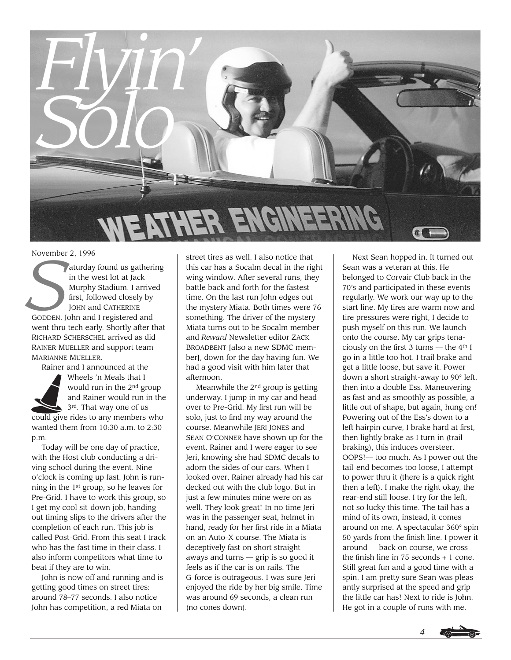

November 2, 1996

**Saturday found us gathering**<br>
in the west lot at Jack<br>
Murphy Stadium. I arrived<br>
first, followed closely by<br>
JOHN and CATHERINE<br>
GODDEN. John and I registered and<br>
went thru tech early Shortly after that in the west lot at Jack Murphy Stadium. I arrived first, followed closely by JOHN and CATHERINE went thru tech early. Shortly after that RICHARD SCHERSCHEL arrived as did RAINER MUELLER and support team MARIANNE MUELLER.

Rainer and I announced at the



Wheels 'n Meals that I would run in the 2nd group and Rainer would run in the 3rd. That way one of us

could give rides to any members who wanted them from 10:30 a.m. to 2:30 p.m.

Today will be one day of practice, with the Host club conducting a driving school during the event. Nine o'clock is coming up fast. John is running in the 1st group, so he leaves for Pre-Grid. I have to work this group, so I get my cool sit-down job, handing out timing slips to the drivers after the completion of each run. This job is called Post-Grid. From this seat I track who has the fast time in their class. I also inform competitors what time to beat if they are to win.

John is now off and running and is getting good times on street tires: around 78–77 seconds. I also notice John has competition, a red Miata on

street tires as well. I also notice that this car has a Socalm decal in the right wing window. After several runs, they battle back and forth for the fastest time. On the last run John edges out the mystery Miata. Both times were 76 something. The driver of the mystery Miata turns out to be Socalm member and *Reward* Newsletter editor ZACK BROADBENT [also a new SDMC member], down for the day having fun. We had a good visit with him later that afternoon.

Meanwhile the 2nd group is getting underway. I jump in my car and head over to Pre-Grid. My first run will be solo, just to find my way around the course. Meanwhile JERI JONES and SEAN O'CONNER have shown up for the event. Rainer and I were eager to see Jeri, knowing she had SDMC decals to adorn the sides of our cars. When I looked over, Rainer already had his car decked out with the club logo. But in just a few minutes mine were on as well. They look great! In no time Jeri was in the passenger seat, helmet in hand, ready for her first ride in a Miata on an Auto-X course. The Miata is deceptively fast on short straightaways and turns — grip is so good it feels as if the car is on rails. The G-force is outrageous. I was sure Jeri enjoyed the ride by her big smile. Time was around 69 seconds, a clean run (no cones down).

Next Sean hopped in. It turned out Sean was a veteran at this. He belonged to Corvair Club back in the 70's and participated in these events regularly. We work our way up to the start line. My tires are warm now and tire pressures were right, I decide to push myself on this run. We launch onto the course. My car grips tenaciously on the first 3 turns — the 4th I go in a little too hot. I trail brake and get a little loose, but save it. Power down a short straight-away to 90° left, then into a double Ess. Maneuvering as fast and as smoothly as possible, a little out of shape, but again, hung on! Powering out of the Ess's down to a left hairpin curve, I brake hard at first, then lightly brake as I turn in (trail braking), this induces oversteer. OOPS!— too much. As I power out the tail-end becomes too loose, I attempt to power thru it (there is a quick right then a left). I make the right okay, the rear-end still loose. I try for the left, not so lucky this time. The tail has a mind of its own, instead, it comes around on me. A spectacular 360° spin 50 yards from the finish line. I power it around — back on course, we cross the finish line in 75 seconds + 1 cone. Still great fun and a good time with a spin. I am pretty sure Sean was pleasantly surprised at the speed and grip the little car has! Next to ride is John. He got in a couple of runs with me.

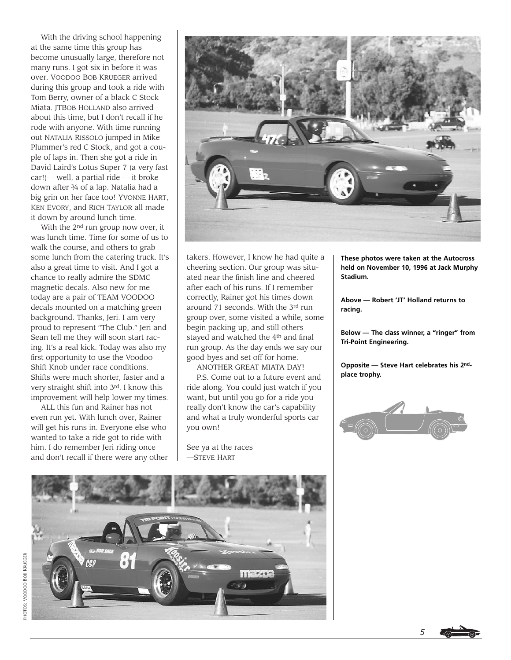With the driving school happening at the same time this group has become unusually large, therefore not many runs. I got six in before it was over. VOODOO BOB KRUEGER arrived during this group and took a ride with Tom Berry, owner of a black C Stock Miata. JTBOB HOLLAND also arrived about this time, but I don't recall if he rode with anyone. With time running out NATALIA RISSOLO jumped in Mike Plummer's red C Stock, and got a couple of laps in. Then she got a ride in David Laird's Lotus Super 7 (a very fast car!)— well, a partial ride — it broke down after 3⁄4 of a lap. Natalia had a big grin on her face too! YVONNE HART, KEN EVORY, and RICH TAYLOR all made it down by around lunch time.

With the 2nd run group now over, it was lunch time. Time for some of us to walk the course, and others to grab some lunch from the catering truck. It's also a great time to visit. And I got a chance to really admire the SDMC magnetic decals. Also new for me today are a pair of TEAM VOODOO decals mounted on a matching green background. Thanks, Jeri. I am very proud to represent "The Club." Jeri and Sean tell me they will soon start racing. It's a real kick. Today was also my first opportunity to use the Voodoo Shift Knob under race conditions. Shifts were much shorter, faster and a very straight shift into 3rd. I know this improvement will help lower my times.

ALL this fun and Rainer has not even run yet. With lunch over, Rainer will get his runs in. Everyone else who wanted to take a ride got to ride with him. I do remember Jeri riding once and don't recall if there were any other



takers. However, I know he had quite a cheering section. Our group was situated near the finish line and cheered after each of his runs. If I remember correctly, Rainer got his times down around 71 seconds. With the 3rd run group over, some visited a while, some begin packing up, and still others stayed and watched the 4<sup>th</sup> and final run group. As the day ends we say our good-byes and set off for home.

ANOTHER GREAT MIATA DAY! P.S. Come out to a future event and ride along. You could just watch if you want, but until you go for a ride you really don't know the car's capability and what a truly wonderful sports car you own!

See ya at the races —STEVE HART

**These photos were taken at the Autocross held on November 10, 1996 at Jack Murphy Stadium.**

**Above — Robert 'JT' Holland returns to racing.**

**Below — The class winner, a "ringer" from Tri-Point Engineering.**

**Opposite — Steve Hart celebrates his 2ndplace trophy.**





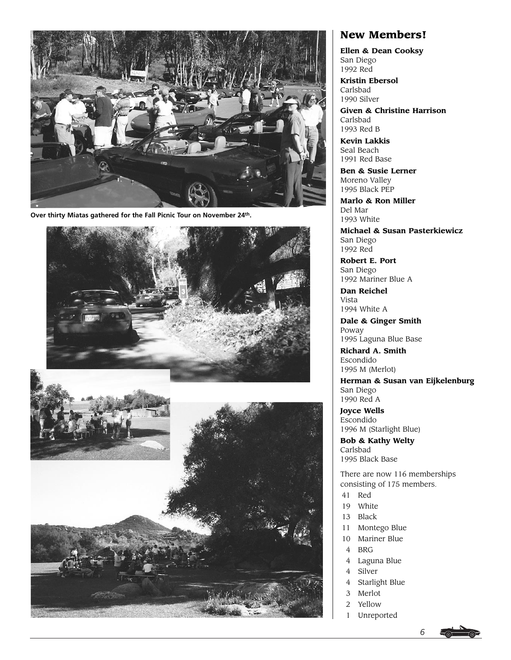

**Over thirty Miatas gathered for the Fall Picnic Tour on November 24th.**





# **New Members!**

**Ellen & Dean Cooksy** San Diego 1992 Red

**Kristin Ebersol** Carlsbad 1990 Silver

**Given & Christine Harrison** Carlsbad 1993 Red B

**Kevin Lakkis** Seal Beach 1991 Red Base

**Ben & Susie Lerner** Moreno Valley 1995 Black PEP

**Marlo & Ron Miller** Del Mar 1993 White

**Michael & Susan Pasterkiewicz** San Diego 1992 Red

**Robert E. Port** San Diego 1992 Mariner Blue A

**Dan Reichel** Vista 1994 White A

**Dale & Ginger Smith** Poway 1995 Laguna Blue Base

**Richard A. Smith** Escondido 1995 M (Merlot)

**Herman & Susan van Eijkelenburg** San Diego 1990 Red A

**Joyce Wells** Escondido 1996 M (Starlight Blue)

**Bob & Kathy Welty** Carlsbad 1995 Black Base

There are now 116 memberships consisting of 175 members.

- 41 Red
- 19 White
- 13 Black
- 11 Montego Blue
- 10 Mariner Blue
- 4 BRG
- 4 Laguna Blue
- 4 Silver
- 4 Starlight Blue
- 3 Merlot
- 2 Yellow
- 1 Unreported



*6*